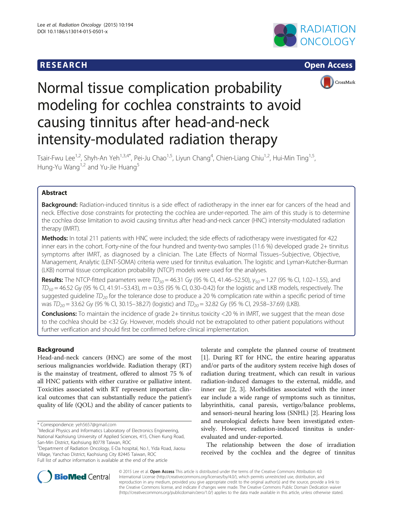





# Normal tissue complication probability modeling for cochlea constraints to avoid causing tinnitus after head-and-neck intensity-modulated radiation therapy

Tsair-Fwu Lee<sup>1,2</sup>, Shyh-An Yeh<sup>1,3,4\*</sup>, Pei-Ju Chao<sup>1,5</sup>, Liyun Chang<sup>4</sup>, Chien-Liang Chiu<sup>1,2</sup>, Hui-Min Ting<sup>1,5</sup>, Hung-Yu Wang<sup>1,2</sup> and Yu-Jie Huang<sup>5</sup>

# Abstract

Background: Radiation-induced tinnitus is a side effect of radiotherapy in the inner ear for cancers of the head and neck. Effective dose constraints for protecting the cochlea are under-reported. The aim of this study is to determine the cochlea dose limitation to avoid causing tinnitus after head-and-neck cancer (HNC) intensity-modulated radiation therapy (IMRT).

Methods: In total 211 patients with HNC were included; the side effects of radiotherapy were investigated for 422 inner ears in the cohort. Forty-nine of the four hundred and twenty-two samples (11.6 %) developed grade 2+ tinnitus symptoms after IMRT, as diagnosed by a clinician. The Late Effects of Normal Tissues–Subjective, Objective, Management, Analytic (LENT-SOMA) criteria were used for tinnitus evaluation. The logistic and Lyman-Kutcher-Burman (LKB) normal tissue complication probability (NTCP) models were used for the analyses.

**Results:** The NTCP-fitted parameters were  $TD_{50} = 46.31$  Gy (95 % CI, 41.46–52.50),  $y_{50} = 1.27$  (95 % CI, 1.02–1.55), and  $TD_{50} = 46.52$  Gy (95 % CI, 41.91–53.43),  $m = 0.35$  (95 % CI, 0.30–0.42) for the logistic and LKB models, respectively. The suggested guideline  $TD_{20}$  for the tolerance dose to produce a 20 % complication rate within a specific period of time was  $TD_{20} = 33.62$  Gy (95 % Cl, 30.15–38.27) (logistic) and  $TD_{20} = 32.82$  Gy (95 % Cl, 29.58–37.69) (LKB).

Conclusions: To maintain the incidence of grade 2+ tinnitus toxicity <20 % in IMRT, we suggest that the mean dose to the cochlea should be <32 Gy. However, models should not be extrapolated to other patient populations without further verification and should first be confirmed before clinical implementation.

# Background

Head-and-neck cancers (HNC) are some of the most serious malignancies worldwide. Radiation therapy (RT) is the mainstay of treatment, offered to almost 75 % of all HNC patients with either curative or palliative intent. Toxicities associated with RT represent important clinical outcomes that can substantially reduce the patient's quality of life (QOL) and the ability of cancer patients to

San-Min District, Kaohsiung 80778 Taiwan, ROC <sup>3</sup>Department of Radiation Oncology, E-Da hospital, No.1, Yida Road, Jiaosu Village, Yanchao District, Kaohsiung City 82445 Taiwan, ROC Full list of author information is available at the end of the article

tolerate and complete the planned course of treatment [[1\]](#page-6-0). During RT for HNC, the entire hearing apparatus and/or parts of the auditory system receive high doses of radiation during treatment, which can result in various radiation-induced damages to the external, middle, and inner ear [\[2](#page-6-0), [3](#page-6-0)]. Morbidities associated with the inner ear include a wide range of symptoms such as tinnitus, labyrinthitis, canal paresis, vertigo/balance problems, and sensori-neural hearing loss (SNHL) [\[2](#page-6-0)]. Hearing loss and neurological defects have been investigated extensively. However, radiation-induced tinnitus is underevaluated and under-reported.

The relationship between the dose of irradiation received by the cochlea and the degree of tinnitus



© 2015 Lee et al. Open Access This article is distributed under the terms of the Creative Commons Attribution 4.0 International License [\(http://creativecommons.org/licenses/by/4.0/](http://creativecommons.org/licenses/by/4.0/)), which permits unrestricted use, distribution, and reproduction in any medium, provided you give appropriate credit to the original author(s) and the source, provide a link to the Creative Commons license, and indicate if changes were made. The Creative Commons Public Domain Dedication waiver [\(http://creativecommons.org/publicdomain/zero/1.0/](http://creativecommons.org/publicdomain/zero/1.0/)) applies to the data made available in this article, unless otherwise stated.

<sup>\*</sup> Correspondence: [yeh5657@gmail.com](mailto:yeh5657@gmail.com) <sup>1</sup>

<sup>&</sup>lt;sup>1</sup>Medical Physics and Informatics Laboratory of Electronics Engineering, National Kaohsiung University of Applied Sciences, 415, Chien Kung Road,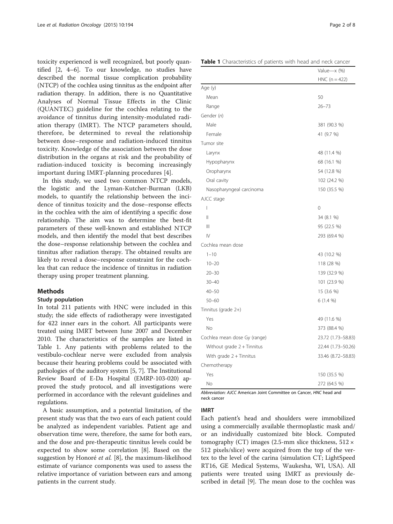<span id="page-1-0"></span>toxicity experienced is well recognized, but poorly quantified [\[2](#page-6-0), [4](#page-6-0)–[6\]](#page-7-0). To our knowledge, no studies have described the normal tissue complication probability (NTCP) of the cochlea using tinnitus as the endpoint after radiation therapy. In addition, there is no Quantitative Analyses of Normal Tissue Effects in the Clinic (QUANTEC) guideline for the cochlea relating to the avoidance of tinnitus during intensity-modulated radiation therapy (IMRT). The NTCP parameters should, therefore, be determined to reveal the relationship between dose–response and radiation-induced tinnitus toxicity. Knowledge of the association between the dose distribution in the organs at risk and the probability of radiation-induced toxicity is becoming increasingly important during IMRT-planning procedures [[4\]](#page-6-0).

In this study, we used two common NTCP models, the logistic and the Lyman-Kutcher-Burman (LKB) models, to quantify the relationship between the incidence of tinnitus toxicity and the dose–response effects in the cochlea with the aim of identifying a specific dose relationship. The aim was to determine the best-fit parameters of these well-known and established NTCP models, and then identify the model that best describes the dose–response relationship between the cochlea and tinnitus after radiation therapy. The obtained results are likely to reveal a dose–response constraint for the cochlea that can reduce the incidence of tinnitus in radiation therapy using proper treatment planning.

### Methods

#### Study population

In total 211 patients with HNC were included in this study; the side effects of radiotherapy were investigated for 422 inner ears in the cohort. All participants were treated using IMRT between June 2007 and December 2010. The characteristics of the samples are listed in Table 1. Any patients with problems related to the vestibulo-cochlear nerve were excluded from analysis because their hearing problems could be associated with pathologies of the auditory system [\[5](#page-6-0), [7](#page-7-0)]. The Institutional Review Board of E-Da Hospital (EMRP-103-020) approved the study protocol, and all investigations were performed in accordance with the relevant guidelines and regulations.

A basic assumption, and a potential limitation, of the present study was that the two ears of each patient could be analyzed as independent variables. Patient age and observation time were, therefore, the same for both ears, and the dose and pre-therapeutic tinnitus levels could be expected to show some correlation [\[8](#page-7-0)]. Based on the suggestion by Honoré et al. [[8\]](#page-7-0), the maximum-likelihood estimate of variance components was used to assess the relative importance of variation between ears and among patients in the current study.

|                              | $\sim$ (/v)        |
|------------------------------|--------------------|
|                              | $HNC (n = 422)$    |
| Age (y)                      |                    |
| Mean                         | 50                 |
| Range                        | $26 - 73$          |
| Gender (n)                   |                    |
| Male                         | 381 (90.3 %)       |
| Female                       | 41 (9.7 %)         |
| Tumor site                   |                    |
| Larynx                       | 48 (11.4 %)        |
| Hypopharynx                  | 68 (16.1 %)        |
| Oropharynx                   | 54 (12.8 %)        |
| Oral cavity                  | 102 (24.2 %)       |
| Nasopharyngeal carcinoma     | 150 (35.5 %)       |
| AJCC stage                   |                    |
| I                            | 0                  |
| Ш                            | 34 (8.1 %)         |
| $\mathbb{H}$                 | 95 (22.5 %)        |
| $\mathsf{IV}$                | 293 (69.4 %)       |
| Cochlea mean dose            |                    |
| $1 - 10$                     | 43 (10.2 %)        |
| $10 - 20$                    | 118 (28 %)         |
| $20 - 30$                    | 139 (32.9 %)       |
| $30 - 40$                    | 101 (23.9 %)       |
| $40 - 50$                    | 15 (3.6 %)         |
| $50 - 60$                    | $6(1.4\%)$         |
| Tinnitus (grade 2+)          |                    |
| Yes                          | 49 (11.6 %)        |
| No                           | 373 (88.4 %)       |
| Cochlea mean dose Gy (range) | 23.72 (1.73-58.83) |
| Without grade $2 +$ Tinnitus | 22.44 (1.73-50.26) |
| With grade 2 + Tinnitus      | 33.46 (8.72-58.83) |
| Chemotherapy                 |                    |
| Yes                          | 150 (35.5 %)       |
| No                           | 272 (64.5 %)       |

Abbreviation: AJCC American Joint Committee on Cancer, HNC head and neck cancer

#### IMRT

Each patient's head and shoulders were immobilized using a commercially available thermoplastic mask and/ or an individually customized bite block. Computed tomography (CT) images (2.5-mm slice thickness, 512 × 512 pixels/slice) were acquired from the top of the vertex to the level of the carina (simulation CT; LightSpeed RT16, GE Medical Systems, Waukesha, WI, USA). All patients were treated using IMRT as previously described in detail [\[9](#page-7-0)]. The mean dose to the cochlea was

Value—x (%)

|  | Table 1 Characteristics of patients with head and neck cancer |  |  |  |  |  |  |  |
|--|---------------------------------------------------------------|--|--|--|--|--|--|--|
|--|---------------------------------------------------------------|--|--|--|--|--|--|--|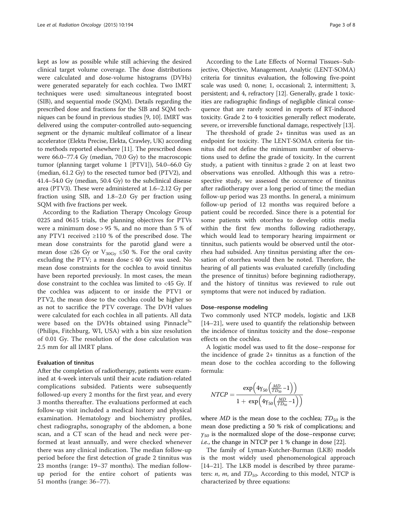kept as low as possible while still achieving the desired clinical target volume coverage. The dose distributions were calculated and dose-volume histograms (DVHs) were generated separately for each cochlea. Two IMRT techniques were used: simultaneous integrated boost (SIB), and sequential mode (SQM). Details regarding the prescribed dose and fractions for the SIB and SQM techniques can be found in previous studies [\[9](#page-7-0), [10\]](#page-7-0). IMRT was delivered using the computer-controlled auto-sequencing segment or the dynamic multileaf collimator of a linear accelerator (Elekta Precise, Elekta, Crawley, UK) according to methods reported elsewhere [\[11](#page-7-0)]. The prescribed doses were 66.0–77.4 Gy (median, 70.0 Gy) to the macroscopic tumor (planning target volume 1 [PTV1]), 54.0–66.0 Gy (median, 61.2 Gy) to the resected tumor bed (PTV2), and 41.4–54.0 Gy (median, 50.4 Gy) to the subclinical disease area (PTV3). These were administered at 1.6–2.12 Gy per fraction using SIB, and 1.8–2.0 Gy per fraction using SQM with five fractions per week.

According to the Radiation Therapy Oncology Group 0225 and 0615 trials, the planning objectives for PTVs were a minimum dose > 95 %, and no more than 5 % of any PTV1 received  $\geq$ 110 % of the prescribed dose. The mean dose constraints for the parotid gland were a mean dose ≤26 Gy or  $V_{30Gy}$  ≤50 %. For the oral cavity excluding the PTV; a mean dose  $\leq 40$  Gy was used. No mean dose constraints for the cochlea to avoid tinnitus have been reported previously. In most cases, the mean dose constraint to the cochlea was limited to <45 Gy. If the cochlea was adjacent to or inside the PTV1 or PTV2, the mean dose to the cochlea could be higher so as not to sacrifice the PTV coverage. The DVH values were calculated for each cochlea in all patients. All data were based on the DVHs obtained using Pinnacle<sup>3</sup>® (Philips, Fitchburg, WI, USA) with a bin size resolution of 0.01 Gy. The resolution of the dose calculation was 2.5 mm for all IMRT plans.

# Evaluation of tinnitus

After the completion of radiotherapy, patients were examined at 4-week intervals until their acute radiation-related complications subsided. Patients were subsequently followed-up every 2 months for the first year, and every 3 months thereafter. The evaluations performed at each follow-up visit included a medical history and physical examination. Hematology and biochemistry profiles, chest radiographs, sonography of the abdomen, a bone scan, and a CT scan of the head and neck were performed at least annually, and were checked whenever there was any clinical indication. The median follow-up period before the first detection of grade 2 tinnitus was 23 months (range: 19–37 months). The median followup period for the entire cohort of patients was 51 months (range: 36–77).

According to the Late Effects of Normal Tissues–Subjective, Objective, Management, Analytic (LENT-SOMA) criteria for tinnitus evaluation, the following five-point scale was used: 0, none; 1, occasional; 2, intermittent; 3, persistent; and 4, refractory [\[12\]](#page-7-0). Generally, grade 1 toxicities are radiographic findings of negligible clinical consequence that are rarely scored in reports of RT-induced toxicity. Grade 2 to 4 toxicities generally reflect moderate, severe, or irreversible functional damage, respectively [\[13\]](#page-7-0).

The threshold of grade 2+ tinnitus was used as an endpoint for toxicity. The LENT-SOMA criteria for tinnitus did not define the minimum number of observations used to define the grade of toxicity. In the current study, a patient with tinnitus  $\geq$  grade 2 on at least two observations was enrolled. Although this was a retrospective study, we assessed the occurrence of tinnitus after radiotherapy over a long period of time; the median follow-up period was 23 months. In general, a minimum follow-up period of 12 months was required before a patient could be recorded. Since there is a potential for some patients with otorrhea to develop otitis media within the first few months following radiotherapy, which would lead to temporary hearing impairment or tinnitus, such patients would be observed until the otorrhea had subsided. Any tinnitus persisting after the cessation of otorrhea would then be noted. Therefore, the hearing of all patients was evaluated carefully (including the presence of tinnitus) before beginning radiotherapy, and the history of tinnitus was reviewed to rule out symptoms that were not induced by radiation.

# Dose–response modeling

Two commonly used NTCP models, logistic and LKB [[14](#page-7-0)–[21](#page-7-0)], were used to quantify the relationship between the incidence of tinnitus toxicity and the dose–response effects on the cochlea.

A logistic model was used to fit the dose–response for the incidence of grade 2+ tinnitus as a function of the mean dose to the cochlea according to the following formula:

$$
NTCP = \frac{\exp\Bigl(4\gamma_{50}\Bigl(\frac{MD}{TD_{50}}-1\Bigr)\Bigr)}{1+\exp\Bigl(4\gamma_{50}\Bigl(\frac{MD}{TD_{50}}-1\Bigr)\Bigr)}
$$

where *MD* is the mean dose to the cochlea;  $TD_{50}$  is the mean dose predicting a 50 % risk of complications; and  $\gamma_{50}$  is the normalized slope of the dose–response curve; i.e., the change in NTCP per 1 % change in dose [[22](#page-7-0)].

The family of Lyman-Kutcher-Burman (LKB) models is the most widely used phenomenological approach [[14](#page-7-0)–[21](#page-7-0)]. The LKB model is described by three parameters: *n*, *m*, and  $TD_{50}$ . According to this model, NTCP is characterized by three equations: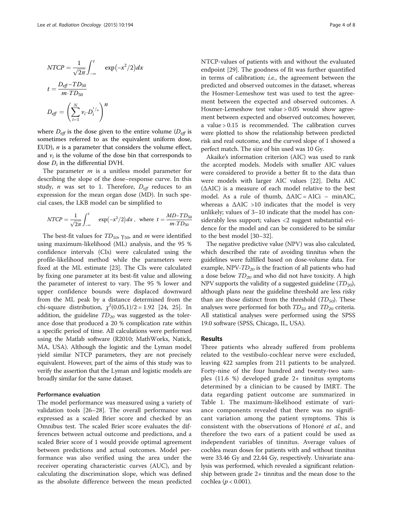$$
NTCP = \frac{1}{\sqrt{2\pi}} \int_{-\infty}^{t} \exp(-x^2/2) dx
$$

$$
t = \frac{D_{\text{eff}} - TD_{50}}{m \cdot TD_{50}}
$$

$$
D_{\text{eff}} = \left(\sum_{i=1}^{N} v_i \cdot D_i^{1/n}\right)^n
$$

where  $D_{\text{eff}}$  is the dose given to the entire volume ( $D_{\text{eff}}$  is sometimes referred to as the equivalent uniform dose, EUD),  $n$  is a parameter that considers the volume effect, and  $v_i$  is the volume of the dose bin that corresponds to dose  $D_i$  in the differential DVH.

The parameter  $m$  is a unitless model parameter for describing the slope of the dose–response curve. In this study, *n* was set to 1. Therefore,  $D_{\text{eff}}$  reduces to an expression for the mean organ dose (MD). In such special cases, the LKB model can be simplified to

$$
NTCP = \frac{1}{\sqrt{2\pi}} \int_{-\infty}^{t} \exp(-x^2/2) dx
$$
, where  $t = \frac{MD - TD_{50}}{m \cdot TD_{50}}$ 

The best-fit values for  $TD_{50}$ ,  $\gamma_{50}$ , and *m* were identified using maximum-likelihood (ML) analysis, and the 95 % confidence intervals (CIs) were calculated using the profile-likelihood method while the parameters were fixed at the ML estimate [\[23\]](#page-7-0). The CIs were calculated by fixing one parameter at its best-fit value and allowing the parameter of interest to vary. The 95 % lower and upper confidence bounds were displaced downward from the ML peak by a distance determined from the chi-square distribution,  $\chi^2(0.05,1)/2 = 1.92$  [\[24, 25\]](#page-7-0). In addition, the guideline  $TD_{20}$  was suggested as the tolerance dose that produced a 20 % complication rate within a specific period of time. All calculations were performed using the Matlab software (R2010; MathWorks, Natick, MA, USA). Although the logistic and the Lyman model yield similar NTCP parameters, they are not precisely equivalent. However, part of the aims of this study was to verify the assertion that the Lyman and logistic models are broadly similar for the same dataset.

# Performance evaluation

The model performance was measured using a variety of validation tools [\[26](#page-7-0)–[28](#page-7-0)]. The overall performance was expressed as a scaled Brier score and checked by an Omnibus test. The scaled Brier score evaluates the differences between actual outcome and predictions, and a scaled Brier score of 1 would provide optimal agreement between predictions and actual outcomes. Model performance was also verified using the area under the receiver operating characteristic curves (AUC), and by calculating the discrimination slope, which was defined as the absolute difference between the mean predicted NTCP-values of patients with and without the evaluated endpoint [\[29](#page-7-0)]. The goodness of fit was further quantified in terms of calibration; *i.e.*, the agreement between the predicted and observed outcomes in the dataset, whereas the Hosmer-Lemeshow test was used to test the agreement between the expected and observed outcomes. A Hosmer-Lemeshow test value > 0.05 would show agreement between expected and observed outcomes; however, a value > 0.15 is recommended. The calibration curves were plotted to show the relationship between predicted risk and real outcome, and the curved slope of 1 showed a perfect match. The size of bin used was 10 Gy.

Akaike's information criterion (AIC) was used to rank the accepted models. Models with smaller AIC values were considered to provide a better fit to the data than were models with larger AIC values [[22](#page-7-0)]. Delta AIC (ΔAIC) is a measure of each model relative to the best model. As a rule of thumb,  $\triangle AIC = AICi - minAIC$ , whereas a  $\triangle AIC > 10$  indicates that the model is very unlikely; values of 3–10 indicate that the model has considerably less support; values <2 suggest substantial evidence for the model and can be considered to be similar to the best model [[30](#page-7-0)–[32](#page-7-0)].

The negative predictive value (NPV) was also calculated, which described the rate of avoiding tinnitus when the guidelines were fulfilled based on dose-volume data. For example,  $NPV-TD_{20}$  is the fraction of all patients who had a dose below  $TD_{20}$  and who did not have toxicity. A high NPV supports the validity of a suggested guideline  $(TD_{20})$ , although plans near the guideline threshold are less risky than are those distinct from the threshold  $(TD_{50})$ . These analyses were performed for both  $TD_{50}$  and  $TD_{20}$  criteria. All statistical analyses were performed using the SPSS 19.0 software (SPSS, Chicago, IL, USA).

# Results

Three patients who already suffered from problems related to the vestibulo-cochlear nerve were excluded, leaving 422 samples from 211 patients to be analyzed. Forty-nine of the four hundred and twenty-two samples (11.6 %) developed grade 2+ tinnitus symptoms determined by a clinician to be caused by IMRT. The data regarding patient outcome are summarized in Table [1.](#page-1-0) The maximum-likelihood estimate of variance components revealed that there was no significant variation among the patient symptoms. This is consistent with the observations of Honoré et al., and therefore the two ears of a patient could be used as independent variables of tinnitus. Average values of cochlea mean doses for patients with and without tinnitus were 33.46 Gy and 22.44 Gy, respectively. Univariate analysis was performed, which revealed a significant relationship between grade 2+ tinnitus and the mean dose to the cochlea ( $p < 0.001$ ).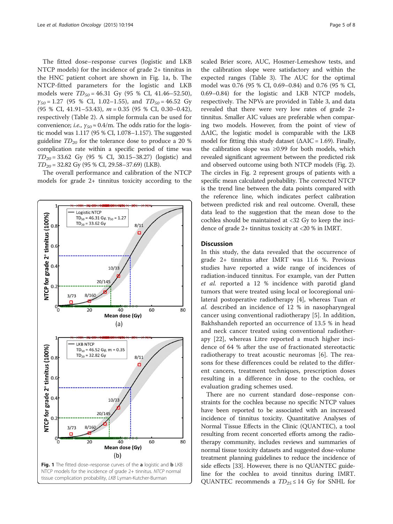The fitted dose–response curves (logistic and LKB NTCP models) for the incidence of grade 2+ tinnitus in the HNC patient cohort are shown in Fig. 1a, b. The NTCP-fitted parameters for the logistic and LKB models were  $TD_{50} = 46.31$  Gy (95 % CI, 41.46–52.50),  $\gamma_{50} = 1.27$  (95 % CI, 1.02–1.55), and  $TD_{50} = 46.52$  Gy  $(95 \text{ % CI}, 41.91-53.43), m = 0.35 (95 \text{ % CI}, 0.30-0.42),$ respectively (Table [2](#page-5-0)). A simple formula can be used for convenience; *i.e.*,  $\gamma_{50} \approx 0.4/m$ . The odds ratio for the logistic model was 1.117 (95 % CI, 1.078–1.157). The suggested guideline  $TD_{20}$  for the tolerance dose to produce a 20 % complication rate within a specific period of time was  $TD_{20} = 33.62$  Gy (95 % CI, 30.15–38.27) (logistic) and  $TD_{20} = 32.82$  Gy (95 % CI, 29.58–37.69) (LKB).

The overall performance and calibration of the NTCP models for grade 2+ tinnitus toxicity according to the



scaled Brier score, AUC, Hosmer-Lemeshow tests, and the calibration slope were satisfactory and within the expected ranges (Table [3\)](#page-5-0). The AUC for the optimal model was 0.76 (95 % CI, 0.69–0.84) and 0.76 (95 % CI, 0.69–0.84) for the logistic and LKB NTCP models, respectively. The NPVs are provided in Table [3](#page-5-0), and data revealed that there were very low rates of grade 2+ tinnitus. Smaller AIC values are preferable when comparing two models. However, from the point of view of ΔAIC, the logistic model is comparable with the LKB model for fitting this study dataset ( $\triangle AIC = 1.69$ ). Finally, the calibration slope was ≥0.99 for both models, which revealed significant agreement between the predicted risk and observed outcome using both NTCP models (Fig. [2](#page-5-0)). The circles in Fig. [2](#page-5-0) represent groups of patients with a specific mean calculated probability. The corrected NTCP is the trend line between the data points compared with the reference line, which indicates perfect calibration between predicted risk and real outcome. Overall, these data lead to the suggestion that the mean dose to the cochlea should be maintained at <32 Gy to keep the incidence of grade 2+ tinnitus toxicity at <20 % in IMRT.

# **Discussion**

In this study, the data revealed that the occurrence of grade 2+ tinnitus after IMRT was 11.6 %. Previous studies have reported a wide range of incidences of radiation-induced tinnitus. For example, van der Putten et al. reported a 12 % incidence with parotid gland tumors that were treated using local or locoregional unilateral postoperative radiotherapy [\[4\]](#page-6-0), whereas Tuan et al. described an incidence of 12 % in nasopharyngeal cancer using conventional radiotherapy [\[5](#page-6-0)]. In addition, Bakhshandeh reported an occurrence of 13.5 % in head and neck cancer treated using conventional radiotherapy [[22](#page-7-0)], whereas Litre reported a much higher incidence of 64 % after the use of fractionated stereotactic radiotherapy to treat acoustic neuromas [\[6](#page-7-0)]. The reasons for these differences could be related to the different cancers, treatment techniques, prescription doses resulting in a difference in dose to the cochlea, or evaluation grading schemes used.

There are no current standard dose–response constraints for the cochlea because no specific NTCP values have been reported to be associated with an increased incidence of tinnitus toxicity. Quantitative Analyses of Normal Tissue Effects in the Clinic (QUANTEC), a tool resulting from recent concerted efforts among the radiotherapy community, includes reviews and summaries of normal tissue toxicity datasets and suggested dose-volume treatment planning guidelines to reduce the incidence of side effects [[33](#page-7-0)]. However, there is no QUANTEC guideline for the cochlea to avoid tinnitus during IMRT. QUANTEC recommends a  $TD_{25} \leq 14$  Gy for SNHL for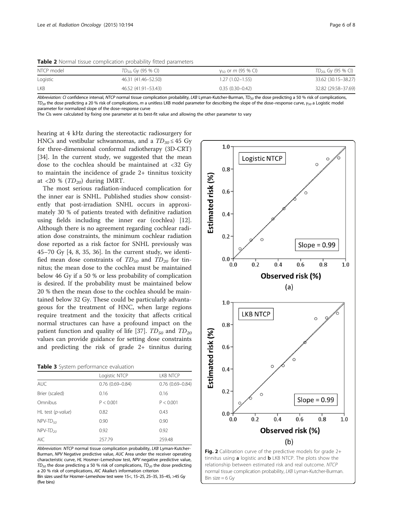<span id="page-5-0"></span>

|  |  |  |  | <b>Table 2</b> Normal tissue complication probability fitted parameters |  |  |  |
|--|--|--|--|-------------------------------------------------------------------------|--|--|--|
|--|--|--|--|-------------------------------------------------------------------------|--|--|--|

| NTCP model | $TD_{50}$ , Gy (95 % CI) | $y_{50}$ or <i>m</i> (95 % CI) | $TD_{20}$ , Gy (95 % CI) |
|------------|--------------------------|--------------------------------|--------------------------|
| Logistic   | 46.31 (41.46–52.50)      | $1.27(1.02 - 1.55)$            | 33.62 (30.15-38.27)      |
| <b>LKB</b> | 46.52 (41.91-53.43)      | 0.35 (0.30-0.42)               | 32.82 (29.58-37.69)      |

Abbreviation: CI confidence interval, NTCP normal tissue complication probability, LKB Lyman-Kutcher-Burman, TD<sub>50</sub> the dose predicting a 50 % risk of complications,  $TD_{20}$  the dose predicting a 20 % risk of complications, m a unitless LKB model parameter for describing the slope of the dose–response curve,  $\gamma_{50}$  a Logistic model parameter for normalized slope of the dose–response curve

The CIs were calculated by fixing one parameter at its best-fit value and allowing the other parameter to vary

hearing at 4 kHz during the stereotactic radiosurgery for HNCs and vestibular schwannomas, and a  $TD_{30} \leq 45$  Gy for three-dimensional conformal radiotherapy (3D-CRT) [[34](#page-7-0)]. In the current study, we suggested that the mean dose to the cochlea should be maintained at <32 Gy to maintain the incidence of grade 2+ tinnitus toxicity at <20 %  $(TD_{20})$  during IMRT.

The most serious radiation-induced complication for the inner ear is SNHL. Published studies show consistently that post-irradiation SNHL occurs in approximately 30 % of patients treated with definitive radiation using fields including the inner ear (cochlea) [\[12](#page-7-0)]. Although there is no agreement regarding cochlear radiation dose constraints, the minimum cochlear radiation dose reported as a risk factor for SNHL previously was 45–70 Gy [\[4,](#page-6-0) [8](#page-7-0), [35, 36](#page-7-0)]. In the current study, we identified mean dose constraints of  $TD_{50}$  and  $TD_{20}$  for tinnitus; the mean dose to the cochlea must be maintained below 46 Gy if a 50 % or less probability of complication is desired. If the probability must be maintained below 20 % then the mean dose to the cochlea should be maintained below 32 Gy. These could be particularly advantageous for the treatment of HNC, when large regions require treatment and the toxicity that affects critical normal structures can have a profound impact on the patient function and quality of life [[37\]](#page-7-0).  $TD_{50}$  and  $TD_{20}$ values can provide guidance for setting dose constraints and predicting the risk of grade 2+ tinnitus during

| Table 3 System performance evaluation |  |  |  |
|---------------------------------------|--|--|--|
|---------------------------------------|--|--|--|

|                   | Logistic NTCP       | <b>LKB NTCP</b>        |
|-------------------|---------------------|------------------------|
| <b>AUC</b>        | $0.76(0.69 - 0.84)$ | $0.76$ $(0.69 - 0.84)$ |
| Brier (scaled)    | 0.16                | 0.16                   |
| Omnibus           | P < 0.001           | P < 0.001              |
| HL test (p-value) | 0.82                | 0.43                   |
| $NPV-TD50$        | 0.90                | 0.90                   |
| $NPV-TD_{20}$     | 0.92                | 0.92                   |
| <b>AIC</b>        | 257.79              | 259.48                 |

Abbreviation: NTCP normal tissue complication probability, LKB Lyman-Kutcher-Burman, NPV Negative predictive value, AUC Area under the receiver operating characteristic curve, HL Hosmer–Lemeshow test, NPV negative predictive value,  $TD_{50}$  the dose predicting a 50 % risk of complications,  $TD_{20}$  the dose predicting a 20 % risk of complications, AIC Akaike's information criterion

Bin sizes used for Hosmer–Lemeshow test were 15<, 15–25, 25–35, 35–45, >45 Gy (five bins)



Fig. 2 Calibration curve of the predictive models for grade 2+ tinnitus using a logistic and **b** LKB NTCP. The plots show the relationship between estimated risk and real outcome. NTCP normal tissue complication probability, LKB Lyman-Kutcher-Burman. Bin size  $= 6$  Gy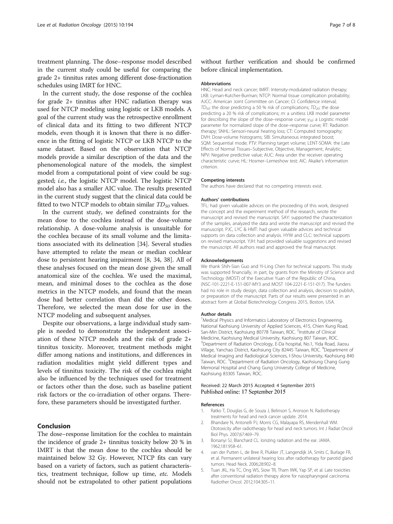<span id="page-6-0"></span>treatment planning. The dose–response model described in the current study could be useful for comparing the grade 2+ tinnitus rates among different dose-fractionation schedules using IMRT for HNC.

In the current study, the dose response of the cochlea for grade 2+ tinnitus after HNC radiation therapy was used for NTCP modeling using logistic or LKB models. A goal of the current study was the retrospective enrollment of clinical data and its fitting to two different NTCP models, even though it is known that there is no difference in the fitting of logistic NTCP or LKB NTCP to the same dataset. Based on the observation that NTCP models provide a similar description of the data and the phenomenological nature of the models, the simplest model from a computational point of view could be suggested; i.e., the logistic NTCP model. The logistic NTCP model also has a smaller AIC value. The results presented in the current study suggest that the clinical data could be fitted to two NTCP models to obtain similar  $TD_{50}$  values.

In the current study, we defined constraints for the mean dose to the cochlea instead of the dose-volume relationship. A dose-volume analysis is unsuitable for the cochlea because of its small volume and the limitations associated with its delineation [\[34](#page-7-0)]. Several studies have attempted to relate the mean or median cochlear dose to persistent hearing impairment [\[8](#page-7-0), [34, 38](#page-7-0)]. All of these analyses focused on the mean dose given the small anatomical size of the cochlea. We used the maximal, mean, and minimal doses to the cochlea as the dose metrics in the NTCP models, and found that the mean dose had better correlation than did the other doses. Therefore, we selected the mean dose for use in the NTCP modeling and subsequent analyses.

Despite our observations, a large individual study sample is needed to demonstrate the independent association of these NTCP models and the risk of grade 2+ tinnitus toxicity. Moreover, treatment methods might differ among nations and institutions, and differences in radiation modalities might yield different types and levels of tinnitus toxicity. The risk of the cochlea might also be influenced by the techniques used for treatment or factors other than the dose, such as baseline patient risk factors or the co-irradiation of other organs. Therefore, these parameters should be investigated further.

# Conclusion

The dose–response limitation for the cochlea to maintain the incidence of grade 2+ tinnitus toxicity below 20 % in IMRT is that the mean dose to the cochlea should be maintained below 32 Gy. However, NTCP fits can vary based on a variety of factors, such as patient characteristics, treatment technique, follow up time, etc. Models should not be extrapolated to other patient populations

without further verification and should be confirmed before clinical implementation.

#### Abbreviations

HNC: Head and neck cancer; IMRT: Intensity-modulated radiation therapy; LKB: Lyman-Kutcher-Burman; NTCP: Normal tissue complication probability; AJCC: American Joint Committee on Cancer; CI: Confidence interval;  $TD_{50}$ : the dose predicting a 50 % risk of complications;  $TD_{20}$ : the dose predicting a 20 % risk of complications; m: a unitless LKB model parameter for describing the slope of the dose–response curve;  $y_{50}$ : a Logistic model parameter for normalized slope of the dose–response curve; RT: Radiation therapy; SNHL: Sensori-neural hearing loss; CT: Computed tomography; DVH: Dose-volume histograms; SIB: Simultaneous integrated boost; SQM: Sequential mode; PTV: Planning target volume; LENT-SOMA: the Late Effects of Normal Tissues–Subjective, Objective, Management, Analytic; NPV: Negative predictive value; AUC: Area under the receiver operating characteristic curve; HL: Hosmer–Lemeshow test; AIC: Akaike's information criterion.

#### Competing interests

The authors have declared that no competing interests exist.

#### Authors' contributions

TFL: had given valuable advices on the proceeding of this work, designed the concept and the experiment method of the research, wrote the manuscript and revised the manuscript. SAY: supported the characterization of the samples, analyzed the data and wrote the manuscript and revised the manuscript. PJC, LYC & HMT: had given valuable advices and technical supports on data collection and analysis. HYW and CLC: technical supports on revised manuscript. YJH: had provided valuable suggestions and revised the manuscript. All authors read and approved the final manuscript.

#### Acknowledgements

We thank Shih-Sian Guo and Yi-Ling Chen for technical supports. This study was supported financially, in part, by grants from the Ministry of Science and Technology (MOST) of the Executive Yuan of the Republic of China, (NSC-101-2221-E-151-007-MY3 and MOST 104-2221-E-151-017). The funders had no role in study design, data collection and analysis, decision to publish, or preparation of the manuscript. Parts of our results were presented in an abstract form at Global Biotechnology Congress 2015, Boston, USA.

#### Author details

<sup>1</sup>Medical Physics and Informatics Laboratory of Electronics Engineering, National Kaohsiung University of Applied Sciences, 415, Chien Kung Road, San-Min District, Kaohsiung 80778 Taiwan, ROC. <sup>2</sup>Institute of Clinical Medicine, Kaohsiung Medical University, Kaohsiung 807 Taiwan, ROC. <sup>3</sup>Department of Radiation Oncology, E-Da hospital, No.1, Yida Road, Jiaosu Village, Yanchao District, Kaohsiung City 82445 Taiwan, ROC. <sup>4</sup>Department of Medical Imaging and Radiological Sciences, I-Shou University, Kaohsiung 840 Taiwan, ROC.<sup>5</sup> Department of Radiation Oncology, Kaohsiung Chang Gung Memorial Hospital and Chang Gung University College of Medicine, Kaohsiung 83305 Taiwan, ROC.

# Received: 22 March 2015 Accepted: 4 September 2015 Published online: 17 September 2015

#### References

- 1. Ratko T, Douglas G, de Souza J, Belinson S, Aronson N. Radiotherapy treatments for head and neck cancer update. 2014.
- 2. Bhandare N, Antonelli PJ, Morris CG, Malayapa RS, Mendenhall WM. Ototoxicity after radiotherapy for head and neck tumors. Int J Radiat Oncol Biol Phys. 2007;67:469–79.
- 3. Borsanyi SJ, Blanchard CL. Ionizing radiation and the ear. JAMA. 1962;181:958–61.
- 4. van der Putten L, de Bree R, Plukker JT, Langendijk JA, Smits C, Burlage FR, et al. Permanent unilateral hearing loss after radiotherapy for parotid gland tumors. Head Neck. 2006;28:902–8.
- 5. Tuan JKL, Ha TC, Ong WS, Siow TR, Tham IWK, Yap SP, et al. Late toxicities after conventional radiation therapy alone for nasopharyngeal carcinoma. Radiother Oncol. 2012;104:305–11.